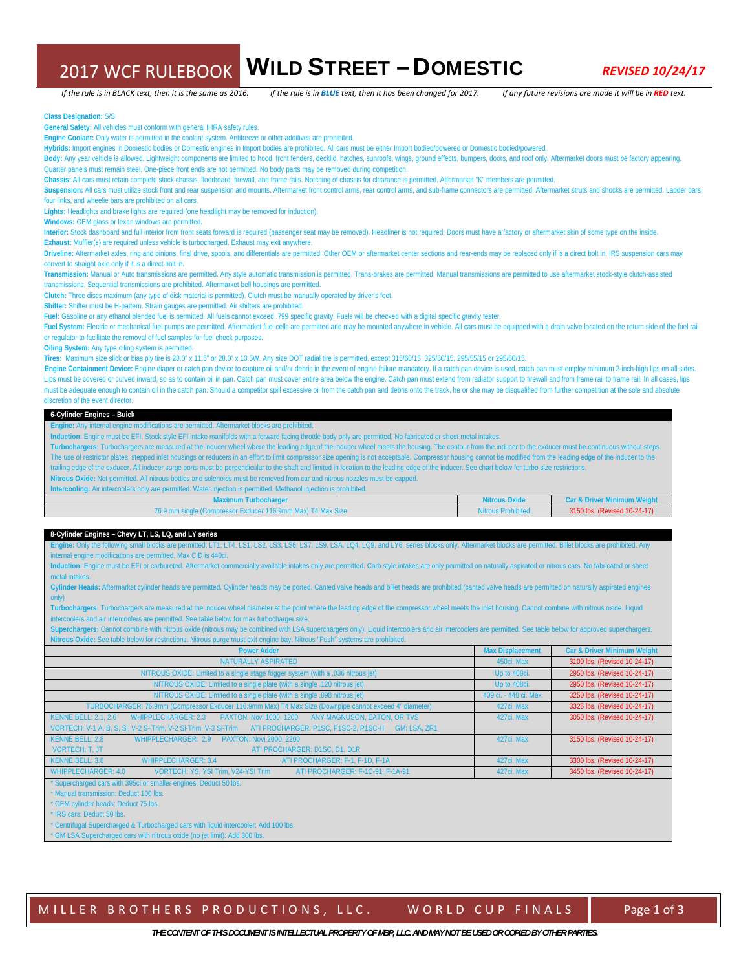# 2017 WCF RULEBOOK WILD STREET – DOMESTIC *REVISED 10/24/17*

If the rule is in BLACK text, then it is the same as 2016. If the rule is in BLUE text, then it has been changed for 2017. If any future revisions are made it will be in RED text.

**Class Designation:** S/S

**General Safety:** All vehicles must conform with general IHRA safety rules.

**Engine Coolant:** Only water is permitted in the coolant system. Antifreeze or other additives are prohibited.

**Hybrids:** Import engines in Domestic bodies or Domestic engines in Import bodies are prohibited. All cars must be either Import bodied/powered or Domestic bodied/powered.

Body: Any year vehicle is allowed. Lightweight components are limited to hood, front fenders, decklid, hatches, sunroofs, wings, ground effects, bumpers, doors, and roof only. Aftermarket doors must be factory appearing.

Quarter panels must remain steel. One-piece front ends are not permitted. No body parts may be removed during competition.

**Chassis:** All cars must retain complete stock chassis, floorboard, firewall, and frame rails. Notching of chassis for clearance is permitted. Aftermarket "K" members are permitted.

Suspension: All cars must utilize stock front and rear suspension and mounts. Aftermarket front control arms, rear control arms, and sub-frame connectors are permitted. Aftermarket struts and shocks are permitted. Ladder b four links, and wheelie bars are prohibited on all cars.

**Lights:** Headlights and brake lights are required (one headlight may be removed for induction).

Windows: OEM glass or lexan windows are permitted.

**Interior:** Stock dashboard and full interior from front seats forward is required (passenger seat may be removed). Headliner is not required. Doors must have a factory or aftermarket skin of some type on the inside. Exhaust: Muffler(s) are required unless vehicle is turbocharged. Exhaust may exit anywhere.

Driveline: Aftermarket axles, ring and pinions, final drive, spools, and differentials are permitted. Other OEM or aftermarket center sections and rear-ends may be replaced only if is a direct bolt in. IRS suspension cars

convert to straight axle only if it is a direct bolt in.

**Transmission:** Manual or Auto transmissions are permitted. Any style automatic transmission is permitted. Trans-brakes are permitted. Manual transmissions are permitted to use aftermarket stock-style clutch-assisted transmissions. Sequential transmissions are prohibited. Aftermarket bell housings are permitted.

**Clutch:** Three discs maximum (any type of disk material is permitted). Clutch must be manually operated by driver's foot.

**Shifter:** Shifter must be H-pattern. Strain gauges are permitted. Air shifters are prohibited.

**Fuel:** Gasoline or any ethanol blended fuel is permitted. All fuels cannot exceed .799 specific gravity. Fuels will be checked with a digital specific gravity tester.

Fuel System: Electric or mechanical fuel pumps are permitted. Aftermarket fuel cells are permitted and may be mounted anywhere in vehicle. All cars must be equipped with a drain valve located on the return side of the fuel or regulator to facilitate the removal of fuel samples for fuel check purposes.

**Oiling System:** Any type oiling system is permitted.

**Tires:** Maximum size slick or bias ply tire is 28.0" x 11.5" or 28.0" x 10.5W. Any size DOT radial tire is permitted, except 315/60/15, 325/50/15, 295/55/15 or 295/60/15.

Engine Containment Device: Engine diaper or catch pan device to capture oil and/or debris in the event of engine failure mandatory. If a catch pan device is used, catch pan must employ minimum 2-inch-high lips on all sides Lips must be covered or curved inward, so as to contain oil in pan. Catch pan must cover entire area below the engine. Catch pan must extend from radiator support to firewall and from frame rail to frame rail. In all cases must be adequate enough to contain oil in the catch pan. Should a competitor spill excessive oil from the catch pan and debris onto the track, he or she may be disqualified from further competition at the sole and absolute discretion of the event director.

#### **6-Cylinder Engines – Buick**

**Engine:** Any internal engine modifications are permitted. Aftermarket blocks are prohibited.

**Induction:** Engine must be EFI. Stock style EFI intake manifolds with a forward facing throttle body only are permitted. No fabricated or sheet metal intakes.

**Turbochargers:** Turbochargers are measured at the inducer wheel where the leading edge of the inducer wheel meets the housing. The contour from the inducer to the exducer must be continuous without steps. The use of restrictor plates, stepped inlet housings or reducers in an effort to limit compressor size opening is not acceptable. Compressor housing cannot be modified from the leading edge of the inducer to the trailing edge of the exducer. All inducer surge ports must be perpendicular to the shaft and limited in location to the leading edge of the inducer. See chart below for turbo size restrictions.

Nitrous Oxide: Not permitted. All nitrous bottles and solenoids must be removed from car and nitrous nozzles must be capped.<br>Intercooling: Air intercoolers only are permitted. Water injection is permitted. Methanol injecti

| Intercooling: Air intercoolers only are permitted. Water injection is permitted. Methanol injection is prohibited. |  |
|--------------------------------------------------------------------------------------------------------------------|--|
| Maximum Turbocharger                                                                                               |  |

| Maximum Turbocharger                                        | <b>Nitrous Oxide</b>      | Car & Driver Minimum Weight  |
|-------------------------------------------------------------|---------------------------|------------------------------|
| 76.9 mm single (Compressor Exducer 116.9mm Max) T4 Max Size | <b>Nitrous Prohibited</b> | 3150 lbs. (Revised 10-24-17) |
|                                                             |                           |                              |

#### **8-Cylinder Engines – Chevy LT, LS, LQ, and LY series**

**Engine:** Only the following small blocks are permitted: LT1, LT4, LS1, LS2, LS3, LS6, LS7, LS9, LSA, LQ4, LQ9, and LY6, series blocks only. Aftermarket blocks are permitted. Billet blocks are prohibited. Any internal engine modifications are permitted. Max CID is 440ci.

**Induction:** Engine must be EFI or carbureted. Aftermarket commercially available intakes only are permitted. Carb style intakes are only permitted on naturally aspirated or nitrous cars. No fabricated or sheet etal inta

**Cylinder Heads:** Aftermarket cylinder heads are permitted. Cylinder heads may be ported. Canted valve heads and billet heads are prohibited (canted valve heads are permitted on naturally aspirated engines only)

**Turbochargers:** Turbochargers are measured at the inducer wheel diameter at the point where the leading edge of the compressor wheel meets the inlet housing. Cannot combine with nitrous oxide. Liquid intercoolers and air intercoolers are permitted. See table below for max turbocharger size.

Superchargers: Cannot combine with nitrous oxide (nitrous may be combined with LSA superchargers only). Liquid intercoolers and air intercoolers are permitted. See table below for approved superchargers. rous Oxide: See table below for restrictions. Nitrous purge must exit engine bay. Nitrous "Push" system:

| <b>Power Adder</b>                                                                                               | <b>Max Displacement</b> | <b>Car &amp; Driver Minimum Weight</b> |
|------------------------------------------------------------------------------------------------------------------|-------------------------|----------------------------------------|
| NATURALLY ASPIRATED                                                                                              | 450ci. Max              | 3100 lbs. (Revised 10-24-17)           |
| NITROUS OXIDE: Limited to a single stage fogger system (with a .036 nitrous jet)                                 | Up to 408ci.            | 2950 lbs. (Revised 10-24-17)           |
| NITROUS OXIDE: Limited to a single plate (with a single .120 nitrous jet)                                        | Up to 408ci.            | 2950 lbs. (Revised 10-24-17)           |
| NITROUS OXIDE: Limited to a single plate (with a single .098 nitrous jet)                                        | 409 ci. - 440 ci. Max   | 3250 lbs. (Revised 10-24-17)           |
| TURBOCHARGER: 76.9mm (Compressor Exducer 116.9mm Max) T4 Max Size (Downpipe cannot exceed 4" diameter)           | 427ci. Max              | 3325 lbs. (Revised 10-24-17)           |
| PAXTON: Novi 1000, 1200<br><b>KENNE BELL: 2.1. 2.6</b><br>WHIPPLECHARGER: 2.3<br>ANY MAGNUSON, EATON, OR TVS     | 427ci. Max              | 3050 lbs. (Revised 10-24-17)           |
| VORTECH: V-1 A, B, S, Si, V-2 S-Trim, V-2 Si-Trim, V-3 Si-Trim ATI PROCHARGER: P1SC, P1SC-2, P1SC-H GM: LSA, ZR1 |                         |                                        |
| KENNE BELL: 2.8<br>WHIPPLECHARGER: 2.9 PAXTON: Novi 2000. 2200                                                   | 427ci. Max              | 3150 lbs. (Revised 10-24-17)           |
| ATI PROCHARGER: D1SC, D1, D1R<br><b>VORTECH: T. JT</b>                                                           |                         |                                        |
| KENNE BELL: 3.6<br><b>WHIPPLECHARGER: 3.4</b><br>ATI PROCHARGER: F-1, F-1D, F-1A                                 | 427ci. Max              | 3300 lbs. (Revised 10-24-17)           |
| <b>WHIPPLECHARGER: 4.0</b><br>VORTECH: YS, YSI Trim, V24-YSI Trim<br>ATI PROCHARGER: F-1C-91, F-1A-91            | 427ci. Max              | 3450 lbs. (Revised 10-24-17)           |
| * Supercharged cars with 395ci or smaller engines: Deduct 50 lbs.                                                |                         |                                        |
| * Manual transmission: Deduct 100 lbs.                                                                           |                         |                                        |
| * OEM cylinder heads: Deduct 75 lbs.                                                                             |                         |                                        |

<sup>'</sup> IRS cars: Deduct 50 lbs.

Centrifugal Supercharged & Turbocharged cars with liquid intercooler: Add 100 lbs.

\* GM LSA Supercharged cars with nitrous oxide (no jet limit): Add 300 lbs.

MILLER BROTHERS PRODUCTIONS, LLC. WORLD CUP FINALS | Page 1 of 3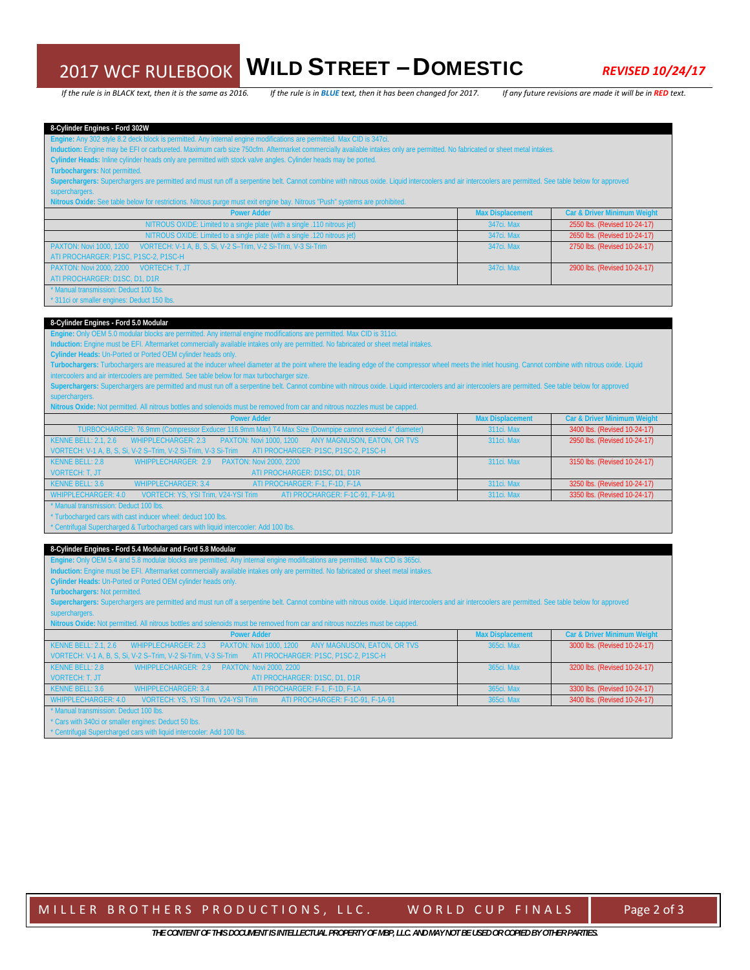### 2017 WCF RULEBOOK WILD STREET – DOMESTIC *REVISED 10/24/17*

If the rule is in BLACK text, then it is the same as 2016. If the rule is in BLUE text, then it has been changed for 2017. If any future revisions are made it will be in RED text.

**8-Cylinder Engines - Ford 302W** 

**Engine:** Any 302 style 8.2 deck block is permitted. Any internal engine modifications are permitted. Max CID is 347ci.

**Induction:** Engine may be EFI or carbureted. Maximum carb size 750cfm. Aftermarket commercially available intakes only are permitted. No fabricated or sheet metal intakes.

**Cylinder Heads:** Inline cylinder heads only are permitted with stock valve angles. Cylinder heads may be ported.

**Turbochargers:** Not permitted.

Superchargers: Superchargers are permitted and must run off a serpentine belt. Cannot combine with nitrous oxide. Liquid intercoolers and air intercoolers are permitted. See table below for approved superchargers.

Nitrous Oxide: See table below for restrictions. Nitrous purge must exit engine bay. Nitrous "Push" systems are pr

| <b>Power Adder</b>                                                                               | <b>Max Displacement</b> | <b>Car &amp; Driver Minimum Weight</b> |
|--------------------------------------------------------------------------------------------------|-------------------------|----------------------------------------|
| NITROUS OXIDE: Limited to a single plate (with a single .110 nitrous jet)                        | 347ci, Max              | 2550 lbs. (Revised 10-24-17)           |
| NITROUS OXIDE: Limited to a single plate (with a single .120 nitrous jet)                        | 347ci, Max              | 2650 lbs. (Revised 10-24-17)           |
| VORTECH: V-1 A, B, S, Si, V-2 S-Trim, V-2 Si-Trim, V-3 Si-Trim<br><b>PAXTON: Novi 1000, 1200</b> | 347ci, Max              | 2750 lbs. (Revised 10-24-17)           |
| ATI PROCHARGER: P1SC, P1SC-2, P1SC-H                                                             |                         |                                        |
| PAXTON: Novi 2000, 2200<br>VORTECH: T. JT                                                        | 347ci, Max              | 2900 lbs. (Revised 10-24-17)           |
| ATI PROCHARGER: D1SC, D1, D1R                                                                    |                         |                                        |
| * Manual transmission: Deduct 100 lbs.                                                           |                         |                                        |
| * 311 ci or smaller engines: Deduct 150 lbs.                                                     |                         |                                        |

### **8-Cylinder Engines - Ford 5.0 Modular**

#### **Engine:** Only OEM 5.0 modular blocks are permitted. Any internal engine modifications are permitted. Max CID is 311ci.

**Induction:** Engine must be EFI. Aftermarket commercially available intakes only are permitted. No fabricated or sheet metal intakes.

**Cylinder Heads:** Un-Ported or Ported OEM cylinder heads only.

**Turbochargers:** Turbochargers are measured at the inducer wheel diameter at the point where the leading edge of the compressor wheel meets the inlet housing. Cannot combine with nitrous oxide. Liquid intercoolers and air intercoolers are permitted. See table below for max turbocharger size.

| Superchargers: Superchargers are permitted and must run off a serpentine belt. Cannot combine with nitrous oxide. Liquid intercoolers and air intercoolers are permitted. See table below for approved |  |  |
|--------------------------------------------------------------------------------------------------------------------------------------------------------------------------------------------------------|--|--|
| superchargers.                                                                                                                                                                                         |  |  |

**Nitrous Oxide:** Not permitted. All nitrous bottles and solenoids must be removed from car and nitrous nozzles must be capped.

| <b>Power Adder</b>                                                                                        | <b>Max Displacement</b> | <b>Car &amp; Driver Minimum Weight</b> |
|-----------------------------------------------------------------------------------------------------------|-------------------------|----------------------------------------|
| TURBOCHARGER: 76.9mm (Compressor Exducer 116.9mm Max) T4 Max Size (Downpipe cannot exceed 4" diameter)    | 311ci, Max              | 3400 lbs. (Revised 10-24-17)           |
| WHIPPLECHARGER: 2.3 PAXTON: Novi 1000, 1200<br>ANY MAGNUSON, EATON, OR TVS<br><b>KENNE BELL: 2.1. 2.6</b> | 311ci, Max              | 2950 lbs. (Revised 10-24-17)           |
| VORTECH: V-1 A, B, S, Si, V-2 S-Trim, V-2 Si-Trim, V-3 Si-Trim ATI PROCHARGER: P1SC, P1SC-2, P1SC-H       |                         |                                        |
| WHIPPLECHARGER: 2.9 PAXTON: Novi 2000. 2200<br>KENNE BELL: 2.8                                            | 311ci, Max              | 3150 lbs. (Revised 10-24-17)           |
| ATI PROCHARGER: D1SC, D1, D1R<br><b>VORTECH: T. JT.</b>                                                   |                         |                                        |
| ATI PROCHARGER: F-1, F-1D, F-1A<br>WHIPPLECHARGER: 3.4<br>KENNE BELL: 3.6                                 | 311ci, Max              | 3250 lbs. (Revised 10-24-17)           |
| WHIPPLECHARGER: 4.0<br>ATI PROCHARGER: F-1C-91, F-1A-91<br>VORTECH: YS. YSI Trim. V24-YSI Trim            | 311ci, Max              | 3350 lbs. (Revised 10-24-17)           |

nual transmission: Deduct 100 lbs.

\* Turbocharged cars with cast inducer wheel: deduct 100 lbs.

\* Centrifugal Supercharged & Turbocharged cars with liquid intercooler: Add 100 lbs.

#### **8-Cylinder Engines - Ford 5.4 Modular and Ford 5.8 Modular**

**Engine:** Only OEM 5.4 and 5.8 modular blocks are permitted. Any internal engine modifications are permitted. Max CID is 365ci.

**Induction:** Engine must be EFI. Aftermarket commercially available intakes only are permitted. No fabricated or sheet metal intakes.

**Cylinder Heads:** Un-Ported or Ported OEM cylinder heads only.

**Turbochargers:** Not permitted.

Superchargers: Superchargers are permitted and must run off a serpentine belt. Cannot combine with nitrous oxide. Liquid intercoolers and air intercoolers are permitted. See table below for approved superchargers.

ous Oxide: Not permitted. All nitrous bottles and solenoids must be removed from car and nitrous nozzles must be capped

| <b>Power Adder</b>                                                                                                  | <b>Max Displacement</b> | <b>Car &amp; Driver Minimum Weight</b> |
|---------------------------------------------------------------------------------------------------------------------|-------------------------|----------------------------------------|
| <b>KENNE BELL: 2.1. 2.6</b><br>ANY MAGNUSON, EATON, OR TVS<br>WHIPPLECHARGER: 2.3<br><b>PAXTON: Novi 1000, 1200</b> | 365ci, Max              | 3000 lbs. (Revised 10-24-17)           |
| VORTECH: V-1 A, B, S, Si, V-2 S-Trim, V-2 Si-Trim, V-3 Si-Trim ATI PROCHARGER: P1SC, P1SC-2, P1SC-H                 |                         |                                        |
| KENNE BELL: 2.8<br>WHIPPLECHARGER: 2.9<br><b>PAXTON: Novi 2000, 2200</b>                                            | 365ci, Max              | 3200 lbs. (Revised 10-24-17)           |
| ATI PROCHARGER: D1SC, D1, D1R<br>VORTECH: T. JT                                                                     |                         |                                        |
| KENNE BELL: 3.6<br>ATI PROCHARGER: F-1, F-1D, F-1A<br>WHIPPLECHARGER: 3.4                                           | 365ci, Max              | 3300 lbs. (Revised 10-24-17)           |
| WHIPPLECHARGER: 4.0<br><b>VORTECH: YS. YSI Trim. V24-YSI Trim</b><br>ATI PROCHARGER: F-1C-91, F-1A-91               | 365ci, Max              | 3400 lbs. (Revised 10-24-17)           |
| * Manual transmission: Deduct 100 lbs.                                                                              |                         |                                        |
| * Cars with 340ci or smaller engines: Deduct 50 lbs.                                                                |                         |                                        |

\* Centrifugal Supercharged cars with liquid intercooler: Add 100 lbs.

MILLER BROTHERS PRODUCTIONS, LLC. WORLD CUP FINALS Page 2 of 3